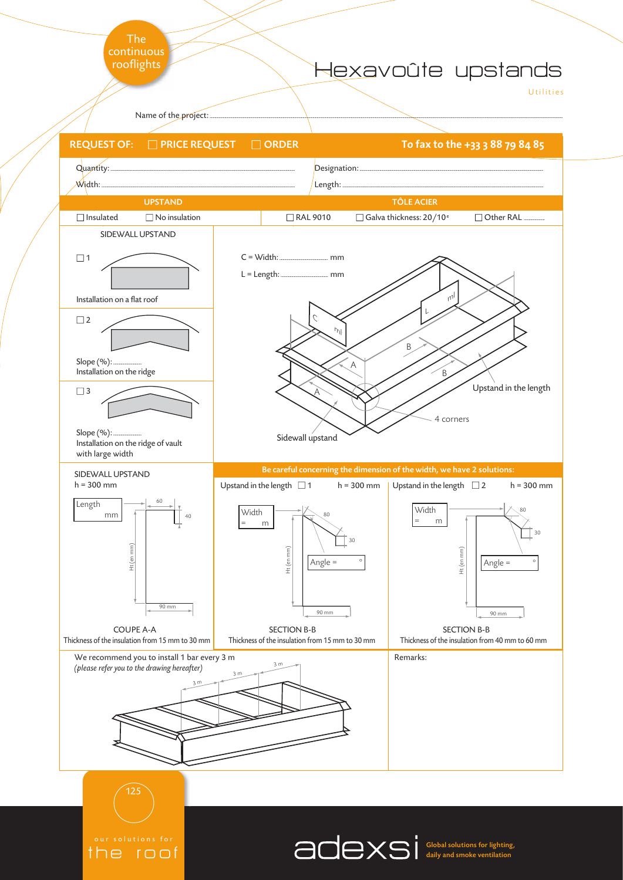

the roof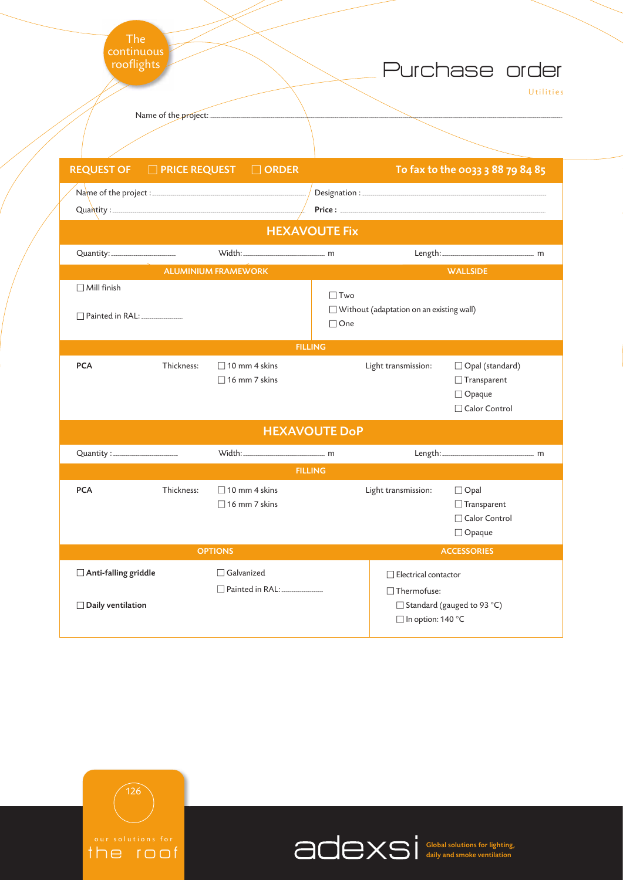| The<br>continuous<br>rooflights                   |                |                                              |                          |                                                             | Purchase order                                                       | Utilities |
|---------------------------------------------------|----------------|----------------------------------------------|--------------------------|-------------------------------------------------------------|----------------------------------------------------------------------|-----------|
|                                                   |                |                                              |                          |                                                             |                                                                      |           |
| <b>REQUEST OF □ PRICE REQUEST □ ORDER</b>         |                |                                              |                          |                                                             | To fax to the 0033 3 88 79 84 85                                     |           |
|                                                   |                |                                              |                          |                                                             |                                                                      |           |
|                                                   |                |                                              | <b>HEXAVOUTE Fix</b>     |                                                             |                                                                      |           |
|                                                   |                | <b>ALUMINIUM FRAMEWORK</b>                   |                          |                                                             | <b>WALLSIDE</b>                                                      |           |
| $\Box$ Mill finish<br>Painted in RAL: ___________ |                |                                              | $\Box$ Two<br>$\Box$ One | $\Box$ Without (adaptation on an existing wall)             |                                                                      |           |
|                                                   |                |                                              | <b>FILLING</b>           |                                                             |                                                                      |           |
| <b>PCA</b>                                        | Thickness:     | $\Box$ 10 mm 4 skins<br>$\Box$ 16 mm 7 skins |                          | Light transmission:                                         | □ Opal (standard)<br>$\Box$ Transparent<br>Opaque<br>□ Calor Control |           |
| <b>HEXAVOUTE DoP</b>                              |                |                                              |                          |                                                             |                                                                      |           |
| Quantity : _______________________                |                |                                              |                          |                                                             |                                                                      |           |
|                                                   |                |                                              | <b>FILLING</b>           |                                                             |                                                                      |           |
| <b>PCA</b>                                        | Thickness:     | $\Box$ 10 mm 4 skins<br>$\Box$ 16 mm 7 skins |                          | Light transmission:                                         | $\Box$ Opal<br>$\Box$ Transparent<br>Calor Control<br>$\Box$ Opaque  |           |
|                                                   | <b>OPTIONS</b> |                                              |                          | <b>ACCESSORIES</b>                                          |                                                                      |           |
| Anti-falling griddle<br>Daily ventilation         |                | Galvanized<br>Painted in RAL: ____________   |                          | Electrical contactor<br>□Thermofuse:<br>□ In option: 140 °C | □ Standard (gauged to 93 °C)                                         |           |



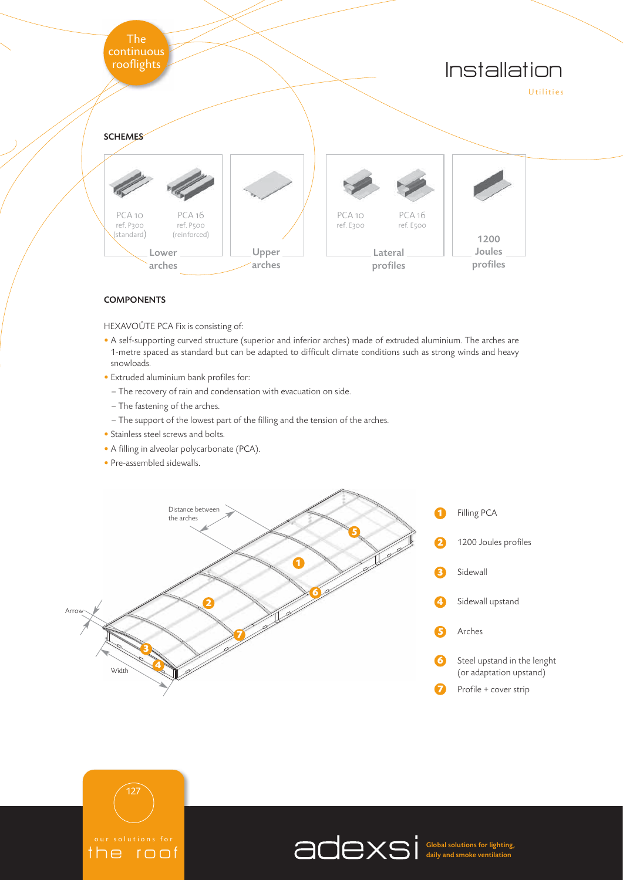

#### **COMPONENTS**

HEXAVOÛTE PCA Fix is consisting of:

- A self-supporting curved structure (superior and inferior arches) made of extruded aluminium. The arches are 1-metre spaced as standard but can be adapted to difficult climate conditions such as strong winds and heavy snowloads.
- Extruded aluminium bank profiles for:
	- The recovery of rain and condensation with evacuation on side.
	- The fastening of the arches.
- The support of the lowest part of the filling and the tension of the arches.
- Stainless steel screws and bolts.
- A filling in alveolar polycarbonate (PCA).
- Pre-assembled sidewalls.





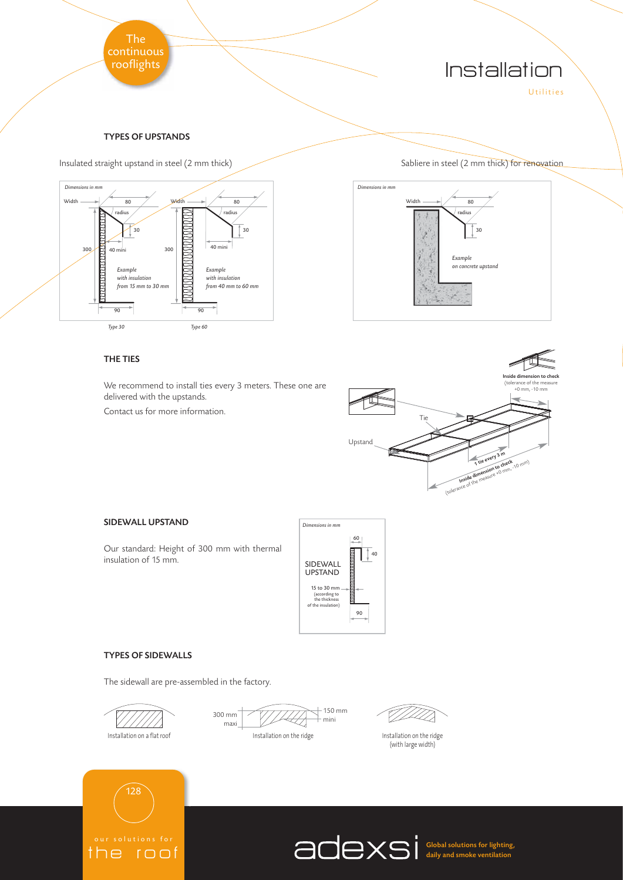





## THE TIES

We recommend to install ties every 3 meters. These one are delivered with the upstands.

Contact us for more information.



### SIDEWALL UPSTAND

Our standard: Height of 300 mm with thermal insulation of 15 mm.



#### TYPES OF SIDEWALLS

The sidewall are pre-assembled in the factory.







(with large width)